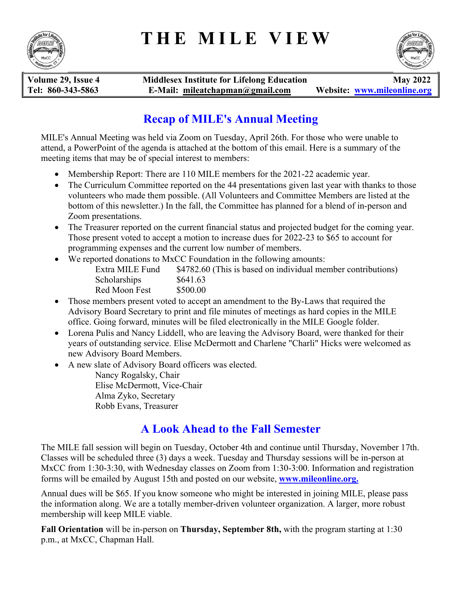# **THE MILE VIEW**





**Volume 29, Issue 4 Middlesex Institute for Lifelong Education May 2022 Tel: 860-343-5863 E-Mail: mileatchapman@gmail.com Website: www.mileonline.org**

## **Recap of MILE's Annual Meeting**

MILE's Annual Meeting was held via Zoom on Tuesday, April 26th. For those who were unable to attend, a PowerPoint of the agenda is attached at the bottom of this email. Here is a summary of the meeting items that may be of special interest to members:

- Membership Report: There are 110 MILE members for the 2021-22 academic year.
- The Curriculum Committee reported on the 44 presentations given last year with thanks to those volunteers who made them possible. (All Volunteers and Committee Members are listed at the bottom of this newsletter.) In the fall, the Committee has planned for a blend of in-person and Zoom presentations.
- The Treasurer reported on the current financial status and projected budget for the coming year. Those present voted to accept a motion to increase dues for 2022-23 to \$65 to account for programming expenses and the current low number of members.
- We reported donations to MxCC Foundation in the following amounts:

| Extra MILE Fund | \$4782.60 (This is based on individual member contributions) |
|-----------------|--------------------------------------------------------------|
| Scholarships    | \$641.63                                                     |
| Red Moon Fest   | \$500.00                                                     |

- Those members present voted to accept an amendment to the By-Laws that required the Advisory Board Secretary to print and file minutes of meetings as hard copies in the MILE office. Going forward, minutes will be filed electronically in the MILE Google folder.
- Lorena Pulis and Nancy Liddell, who are leaving the Advisory Board, were thanked for their years of outstanding service. Elise McDermott and Charlene "Charli" Hicks were welcomed as new Advisory Board Members.
- A new slate of Advisory Board officers was elected.

Nancy Rogalsky, Chair Elise McDermott, Vice-Chair Alma Zyko, Secretary Robb Evans, Treasurer

## **A Look Ahead to the Fall Semester**

The MILE fall session will begin on Tuesday, October 4th and continue until Thursday, November 17th. Classes will be scheduled three (3) days a week. Tuesday and Thursday sessions will be in-person at MxCC from 1:30-3:30, with Wednesday classes on Zoom from 1:30-3:00. Information and registration forms will be emailed by August 15th and posted on our website, **www.mileonline.org.** 

Annual dues will be \$65. If you know someone who might be interested in joining MILE, please pass the information along. We are a totally member-driven volunteer organization. A larger, more robust membership will keep MILE viable.

**Fall Orientation** will be in-person on **Thursday, September 8th,** with the program starting at 1:30 p.m., at MxCC, Chapman Hall.